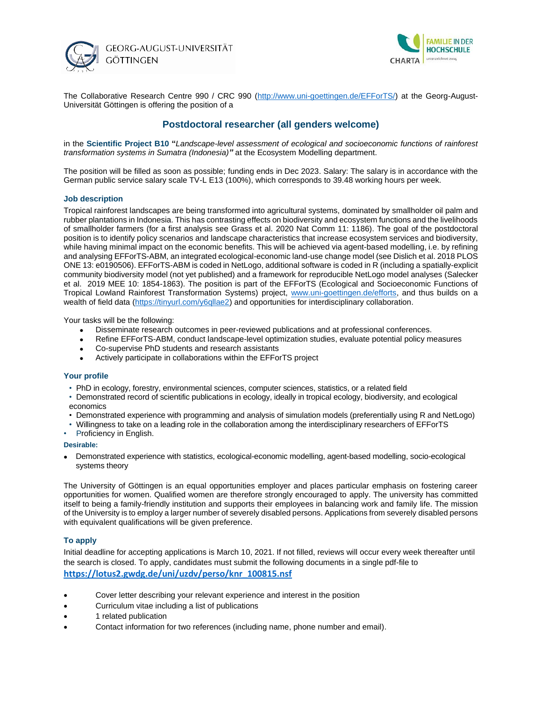



The Collaborative Research Centre 990 / CRC 990 [\(http://www.uni-goettingen.de/EFForTS/\)](http://www.uni-goettingen.de/EFForTS/) at the Georg-August-Universität Göttingen is offering the position of a

# **Postdoctoral researcher (all genders welcome)**

in the **Scientific Project B10 "***Landscape-level assessment of ecological and socioeconomic functions of rainforest transformation systems in Sumatra (Indonesia)"* at the Ecosystem Modelling department.

The position will be filled as soon as possible; funding ends in Dec 2023. Salary: The salary is in accordance with the German public service salary scale TV-L E13 (100%), which corresponds to 39.48 working hours per week.

### **Job description**

Tropical rainforest landscapes are being transformed into agricultural systems, dominated by smallholder oil palm and rubber plantations in Indonesia. This has contrasting effects on biodiversity and ecosystem functions and the livelihoods of smallholder farmers (for a first analysis see Grass et al. 2020 Nat Comm 11: 1186). The goal of the postdoctoral position is to identify policy scenarios and landscape characteristics that increase ecosystem services and biodiversity, while having minimal impact on the economic benefits. This will be achieved via agent-based modelling, i.e. by refining and analysing EFForTS-ABM, an integrated ecological-economic land-use change model (see Dislich et al. 2018 PLOS ONE 13: e0190506). EFForTS-ABM is coded in NetLogo, additional software is coded in R (including a spatially-explicit community biodiversity model (not yet published) and a framework for reproducible NetLogo model analyses (Salecker et al. 2019 MEE 10: 1854-1863). The position is part of the EFForTS (Ecological and Socioeconomic Functions of Tropical Lowland Rainforest Transformation Systems) project, [www.uni-goettingen.de/efforts,](http://www.uni-goettingen.de/efforts) and thus builds on a wealth of field data [\(https://tinyurl.com/y6qllae2\)](https://tinyurl.com/y6qllae2) and opportunities for interdisciplinary collaboration.

Your tasks will be the following:

- Disseminate research outcomes in peer-reviewed publications and at professional conferences.
- Refine EFForTS-ABM, conduct landscape-level optimization studies, evaluate potential policy measures
- Co-supervise PhD students and research assistants
- Actively participate in collaborations within the EFForTS project

#### **Your profile**

- PhD in ecology, forestry, environmental sciences, computer sciences, statistics, or a related field
- Demonstrated record of scientific publications in ecology, ideally in tropical ecology, biodiversity, and ecological economics
- Demonstrated experience with programming and analysis of simulation models (preferentially using R and NetLogo)
- Willingness to take on a leading role in the collaboration among the interdisciplinary researchers of EFForTS
- Proficiency in English.

#### **Desirable:**

• Demonstrated experience with statistics, ecological-economic modelling, agent-based modelling, socio-ecological systems theory

The University of Göttingen is an equal opportunities employer and places particular emphasis on fostering career opportunities for women. Qualified women are therefore strongly encouraged to apply. The university has committed itself to being a family-friendly institution and supports their employees in balancing work and family life. The mission of the University is to employ a larger number of severely disabled persons. Applications from severely disabled persons with equivalent qualifications will be given preference.

## **To apply**

Initial deadline for accepting applications is March 10, 2021. If not filled, reviews will occur every week thereafter until the search is closed. To apply, candidates must submit the following documents in a single pdf-file to **[https://lotus2.gwdg.de/uni/uzdv/perso/knr\\_100815.nsf](https://lotus2.gwdg.de/uni/uzdv/perso/knr_100815.nsf)**

- Cover letter describing your relevant experience and interest in the position
- Curriculum vitae including a list of publications
- 1 related publication
- Contact information for two references (including name, phone number and email).